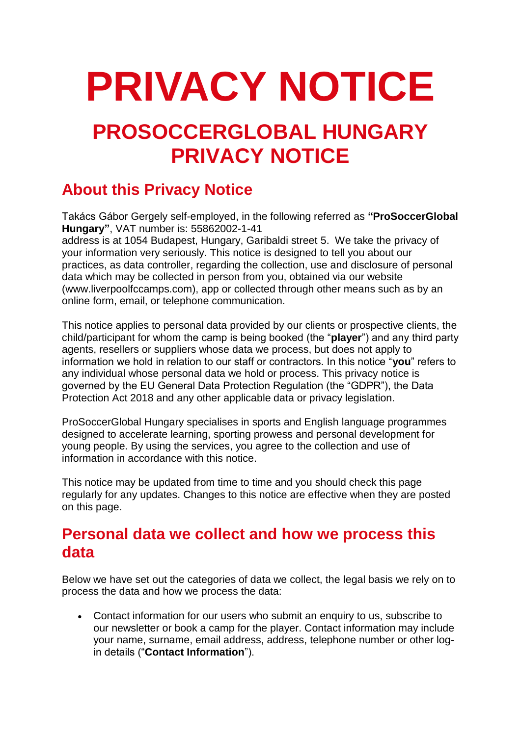# **PRIVACY NOTICE**

## **PROSOCCERGLOBAL HUNGARY PRIVACY NOTICE**

### **About this Privacy Notice**

Takács Gábor Gergely self-employed, in the following referred as **"ProSoccerGlobal Hungary"**, VAT number is: 55862002-1-41

address is at 1054 Budapest, Hungary, Garibaldi street 5. We take the privacy of your information very seriously. This notice is designed to tell you about our practices, as data controller, regarding the collection, use and disclosure of personal data which may be collected in person from you, obtained via our website (www.liverpoolfccamps.com), app or collected through other means such as by an online form, email, or telephone communication.

This notice applies to personal data provided by our clients or prospective clients, the child/participant for whom the camp is being booked (the "**player**") and any third party agents, resellers or suppliers whose data we process, but does not apply to information we hold in relation to our staff or contractors. In this notice "**you**" refers to any individual whose personal data we hold or process. This privacy notice is governed by the EU General Data Protection Regulation (the "GDPR"), the Data Protection Act 2018 and any other applicable data or privacy legislation.

ProSoccerGlobal Hungary specialises in sports and English language programmes designed to accelerate learning, sporting prowess and personal development for young people. By using the services, you agree to the collection and use of information in accordance with this notice.

This notice may be updated from time to time and you should check this page regularly for any updates. Changes to this notice are effective when they are posted on this page.

#### **Personal data we collect and how we process this data**

Below we have set out the categories of data we collect, the legal basis we rely on to process the data and how we process the data:

• Contact information for our users who submit an enquiry to us, subscribe to our newsletter or book a camp for the player. Contact information may include your name, surname, email address, address, telephone number or other login details ("**Contact Information**").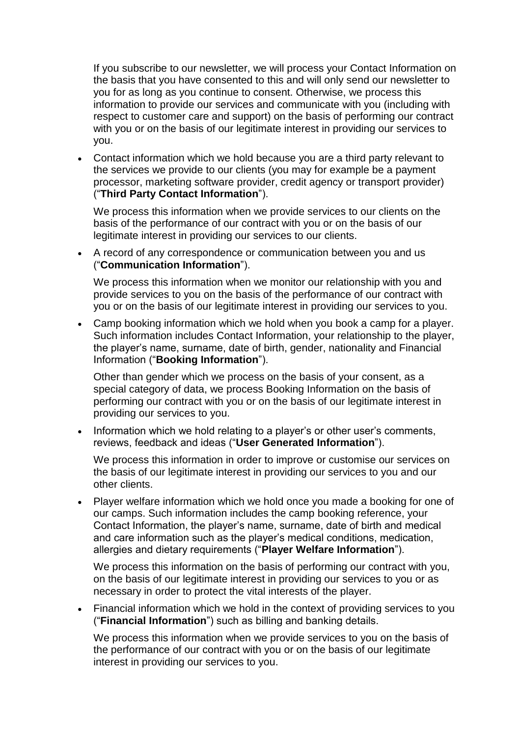If you subscribe to our newsletter, we will process your Contact Information on the basis that you have consented to this and will only send our newsletter to you for as long as you continue to consent. Otherwise, we process this information to provide our services and communicate with you (including with respect to customer care and support) on the basis of performing our contract with you or on the basis of our legitimate interest in providing our services to you.

• Contact information which we hold because you are a third party relevant to the services we provide to our clients (you may for example be a payment processor, marketing software provider, credit agency or transport provider) ("**Third Party Contact Information**").

We process this information when we provide services to our clients on the basis of the performance of our contract with you or on the basis of our legitimate interest in providing our services to our clients.

• A record of any correspondence or communication between you and us ("**Communication Information**").

We process this information when we monitor our relationship with you and provide services to you on the basis of the performance of our contract with you or on the basis of our legitimate interest in providing our services to you.

• Camp booking information which we hold when you book a camp for a player. Such information includes Contact Information, your relationship to the player, the player's name, surname, date of birth, gender, nationality and Financial Information ("**Booking Information**").

Other than gender which we process on the basis of your consent, as a special category of data, we process Booking Information on the basis of performing our contract with you or on the basis of our legitimate interest in providing our services to you.

• Information which we hold relating to a player's or other user's comments, reviews, feedback and ideas ("**User Generated Information**").

We process this information in order to improve or customise our services on the basis of our legitimate interest in providing our services to you and our other clients.

• Player welfare information which we hold once you made a booking for one of our camps. Such information includes the camp booking reference, your Contact Information, the player's name, surname, date of birth and medical and care information such as the player's medical conditions, medication, allergies and dietary requirements ("**Player Welfare Information**").

We process this information on the basis of performing our contract with you, on the basis of our legitimate interest in providing our services to you or as necessary in order to protect the vital interests of the player.

• Financial information which we hold in the context of providing services to you ("**Financial Information**") such as billing and banking details.

We process this information when we provide services to you on the basis of the performance of our contract with you or on the basis of our legitimate interest in providing our services to you.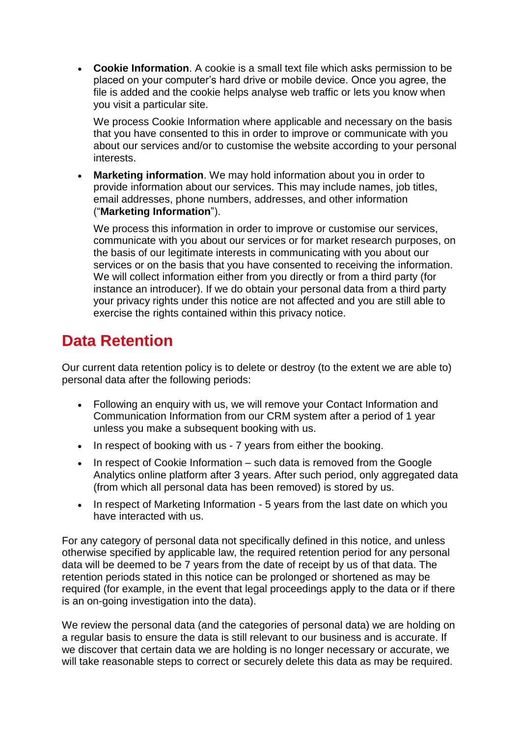• **Cookie Information**. A cookie is a small text file which asks permission to be placed on your computer's hard drive or mobile device. Once you agree, the file is added and the cookie helps analyse web traffic or lets you know when you visit a particular site.

We process Cookie Information where applicable and necessary on the basis that you have consented to this in order to improve or communicate with you about our services and/or to customise the website according to your personal interests.

**Marketing information**. We may hold information about you in order to provide information about our services. This may include names, job titles, email addresses, phone numbers, addresses, and other information ("**Marketing Information**").

We process this information in order to improve or customise our services, communicate with you about our services or for market research purposes, on the basis of our legitimate interests in communicating with you about our services or on the basis that you have consented to receiving the information. We will collect information either from you directly or from a third party (for instance an introducer). If we do obtain your personal data from a third party your privacy rights under this notice are not affected and you are still able to exercise the rights contained within this privacy notice.

#### **Data Retention**

Our current data retention policy is to delete or destroy (to the extent we are able to) personal data after the following periods:

- Following an enquiry with us, we will remove your Contact Information and Communication Information from our CRM system after a period of 1 year unless you make a subsequent booking with us.
- In respect of booking with us 7 years from either the booking.
- In respect of Cookie Information such data is removed from the Google Analytics online platform after 3 years. After such period, only aggregated data (from which all personal data has been removed) is stored by us.
- In respect of Marketing Information 5 years from the last date on which you have interacted with us.

For any category of personal data not specifically defined in this notice, and unless otherwise specified by applicable law, the required retention period for any personal data will be deemed to be 7 years from the date of receipt by us of that data. The retention periods stated in this notice can be prolonged or shortened as may be required (for example, in the event that legal proceedings apply to the data or if there is an on-going investigation into the data).

We review the personal data (and the categories of personal data) we are holding on a regular basis to ensure the data is still relevant to our business and is accurate. If we discover that certain data we are holding is no longer necessary or accurate, we will take reasonable steps to correct or securely delete this data as may be required.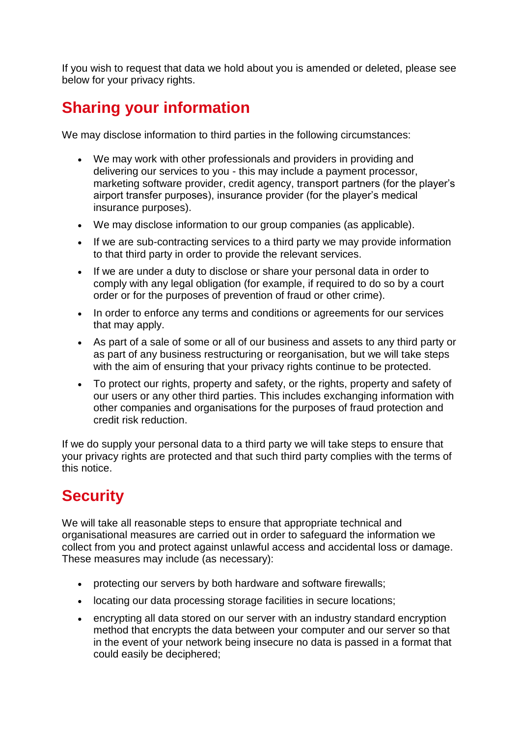If you wish to request that data we hold about you is amended or deleted, please see below for your privacy rights.

### **Sharing your information**

We may disclose information to third parties in the following circumstances:

- We may work with other professionals and providers in providing and delivering our services to you - this may include a payment processor, marketing software provider, credit agency, transport partners (for the player's airport transfer purposes), insurance provider (for the player's medical insurance purposes).
- We may disclose information to our group companies (as applicable).
- If we are sub-contracting services to a third party we may provide information to that third party in order to provide the relevant services.
- If we are under a duty to disclose or share your personal data in order to comply with any legal obligation (for example, if required to do so by a court order or for the purposes of prevention of fraud or other crime).
- In order to enforce any terms and conditions or agreements for our services that may apply.
- As part of a sale of some or all of our business and assets to any third party or as part of any business restructuring or reorganisation, but we will take steps with the aim of ensuring that your privacy rights continue to be protected.
- To protect our rights, property and safety, or the rights, property and safety of our users or any other third parties. This includes exchanging information with other companies and organisations for the purposes of fraud protection and credit risk reduction.

If we do supply your personal data to a third party we will take steps to ensure that your privacy rights are protected and that such third party complies with the terms of this notice.

## **Security**

We will take all reasonable steps to ensure that appropriate technical and organisational measures are carried out in order to safeguard the information we collect from you and protect against unlawful access and accidental loss or damage. These measures may include (as necessary):

- protecting our servers by both hardware and software firewalls;
- locating our data processing storage facilities in secure locations;
- encrypting all data stored on our server with an industry standard encryption method that encrypts the data between your computer and our server so that in the event of your network being insecure no data is passed in a format that could easily be deciphered;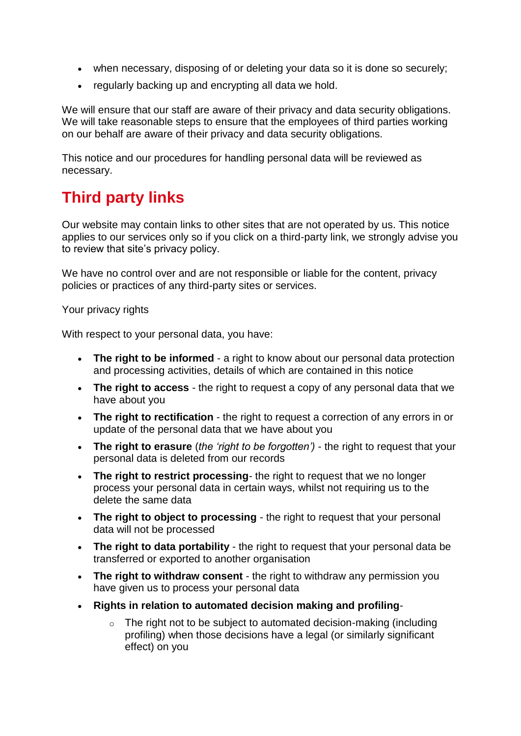- when necessary, disposing of or deleting your data so it is done so securely;
- regularly backing up and encrypting all data we hold.

We will ensure that our staff are aware of their privacy and data security obligations. We will take reasonable steps to ensure that the employees of third parties working on our behalf are aware of their privacy and data security obligations.

This notice and our procedures for handling personal data will be reviewed as necessary.

#### **Third party links**

Our website may contain links to other sites that are not operated by us. This notice applies to our services only so if you click on a third-party link, we strongly advise you to review that site's privacy policy.

We have no control over and are not responsible or liable for the content, privacy policies or practices of any third-party sites or services.

#### Your privacy rights

With respect to your personal data, you have:

- **The right to be informed** a right to know about our personal data protection and processing activities, details of which are contained in this notice
- **The right to access** the right to request a copy of any personal data that we have about you
- **The right to rectification** the right to request a correction of any errors in or update of the personal data that we have about you
- **The right to erasure** (*the 'right to be forgotten')* the right to request that your personal data is deleted from our records
- **The right to restrict processing***-* the right to request that we no longer process your personal data in certain ways, whilst not requiring us to the delete the same data
- **The right to object to processing** the right to request that your personal data will not be processed
- **The right to data portability** the right to request that your personal data be transferred or exported to another organisation
- **The right to withdraw consent**  the right to withdraw any permission you have given us to process your personal data
- **Rights in relation to automated decision making and profiling**-
	- $\circ$  The right not to be subject to automated decision-making (including profiling) when those decisions have a legal (or similarly significant effect) on you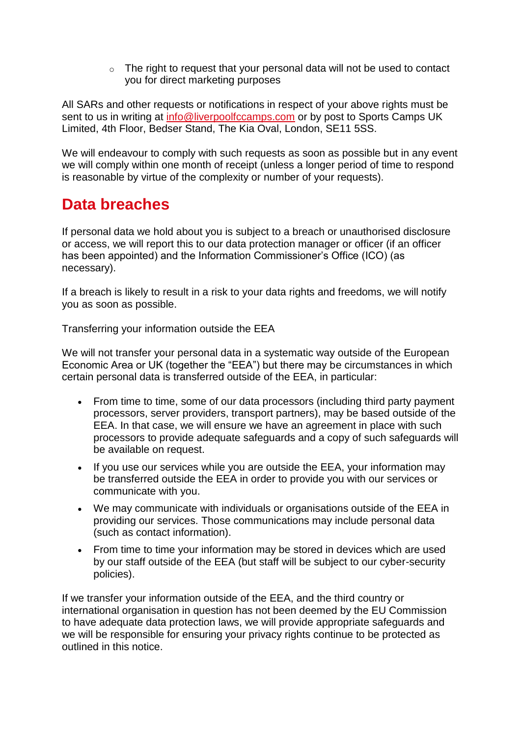o The right to request that your personal data will not be used to contact you for direct marketing purposes

All SARs and other requests or notifications in respect of your above rights must be sent to us in writing at [info@liverpoolfccamps.com](mailto:info@liverpoolfccamps.com) or by post to Sports Camps UK Limited, 4th Floor, Bedser Stand, The Kia Oval, London, SE11 5SS.

We will endeavour to comply with such requests as soon as possible but in any event we will comply within one month of receipt (unless a longer period of time to respond is reasonable by virtue of the complexity or number of your requests).

#### **Data breaches**

If personal data we hold about you is subject to a breach or unauthorised disclosure or access, we will report this to our data protection manager or officer (if an officer has been appointed) and the Information Commissioner's Office (ICO) (as necessary).

If a breach is likely to result in a risk to your data rights and freedoms, we will notify you as soon as possible.

Transferring your information outside the EEA

We will not transfer your personal data in a systematic way outside of the European Economic Area or UK (together the "EEA") but there may be circumstances in which certain personal data is transferred outside of the EEA, in particular:

- From time to time, some of our data processors (including third party payment processors, server providers, transport partners), may be based outside of the EEA. In that case, we will ensure we have an agreement in place with such processors to provide adequate safeguards and a copy of such safeguards will be available on request.
- If you use our services while you are outside the EEA, your information may be transferred outside the EEA in order to provide you with our services or communicate with you.
- We may communicate with individuals or organisations outside of the EEA in providing our services. Those communications may include personal data (such as contact information).
- From time to time your information may be stored in devices which are used by our staff outside of the EEA (but staff will be subject to our cyber-security policies).

If we transfer your information outside of the EEA, and the third country or international organisation in question has not been deemed by the EU Commission to have adequate data protection laws, we will provide appropriate safeguards and we will be responsible for ensuring your privacy rights continue to be protected as outlined in this notice.